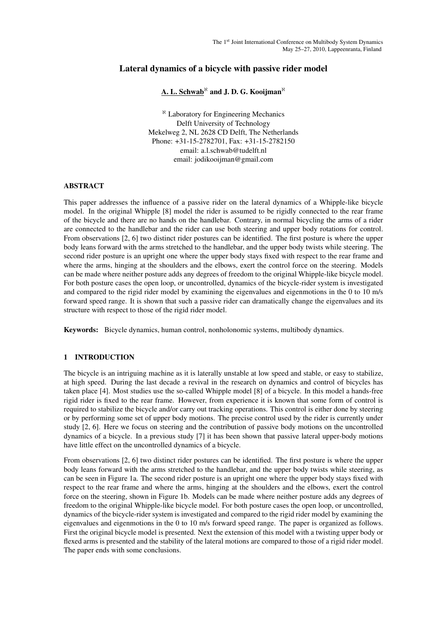# Lateral dynamics of a bicycle with passive rider model

#### A. L. Schwab*<sup>ℵ</sup>* and J. D. G. Kooijman*<sup>ℵ</sup>*

*<sup>ℵ</sup>* Laboratory for Engineering Mechanics Delft University of Technology Mekelweg 2, NL 2628 CD Delft, The Netherlands Phone: +31-15-2782701, Fax: +31-15-2782150 email: a.l.schwab@tudelft.nl email: jodikooijman@gmail.com

#### ABSTRACT

This paper addresses the influence of a passive rider on the lateral dynamics of a Whipple-like bicycle model. In the original Whipple [8] model the rider is assumed to be rigidly connected to the rear frame of the bicycle and there are no hands on the handlebar. Contrary, in normal bicycling the arms of a rider are connected to the handlebar and the rider can use both steering and upper body rotations for control. From observations [2, 6] two distinct rider postures can be identified. The first posture is where the upper body leans forward with the arms stretched to the handlebar, and the upper body twists while steering. The second rider posture is an upright one where the upper body stays fixed with respect to the rear frame and where the arms, hinging at the shoulders and the elbows, exert the control force on the steering. Models can be made where neither posture adds any degrees of freedom to the original Whipple-like bicycle model. For both posture cases the open loop, or uncontrolled, dynamics of the bicycle-rider system is investigated and compared to the rigid rider model by examining the eigenvalues and eigenmotions in the 0 to 10 m/s forward speed range. It is shown that such a passive rider can dramatically change the eigenvalues and its structure with respect to those of the rigid rider model.

Keywords: Bicycle dynamics, human control, nonholonomic systems, multibody dynamics.

## 1 INTRODUCTION

The bicycle is an intriguing machine as it is laterally unstable at low speed and stable, or easy to stabilize, at high speed. During the last decade a revival in the research on dynamics and control of bicycles has taken place [4]. Most studies use the so-called Whipple model [8] of a bicycle. In this model a hands-free rigid rider is fixed to the rear frame. However, from experience it is known that some form of control is required to stabilize the bicycle and/or carry out tracking operations. This control is either done by steering or by performing some set of upper body motions. The precise control used by the rider is currently under study [2, 6]. Here we focus on steering and the contribution of passive body motions on the uncontrolled dynamics of a bicycle. In a previous study [7] it has been shown that passive lateral upper-body motions have little effect on the uncontrolled dynamics of a bicycle.

From observations [2, 6] two distinct rider postures can be identified. The first posture is where the upper body leans forward with the arms stretched to the handlebar, and the upper body twists while steering, as can be seen in Figure 1a. The second rider posture is an upright one where the upper body stays fixed with respect to the rear frame and where the arms, hinging at the shoulders and the elbows, exert the control force on the steering, shown in Figure 1b. Models can be made where neither posture adds any degrees of freedom to the original Whipple-like bicycle model. For both posture cases the open loop, or uncontrolled, dynamics of the bicycle-rider system is investigated and compared to the rigid rider model by examining the eigenvalues and eigenmotions in the 0 to 10 m/s forward speed range. The paper is organized as follows. First the original bicycle model is presented. Next the extension of this model with a twisting upper body or flexed arms is presented and the stability of the lateral motions are compared to those of a rigid rider model. The paper ends with some conclusions.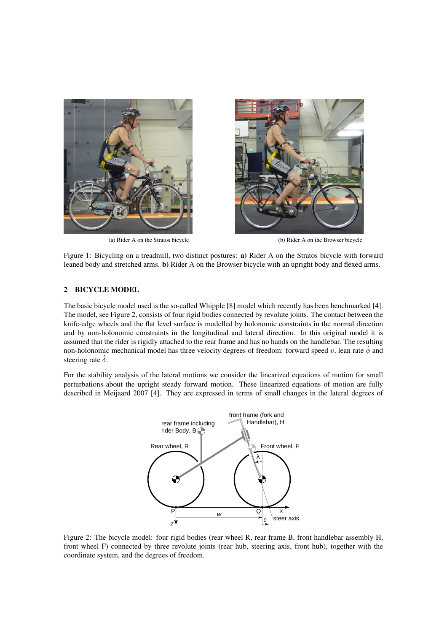



(a) Rider A on the Stratos bicycle (b) Rider A on the Browser bicycle

Figure 1: Bicycling on a treadmill, two distinct postures: a) Rider A on the Stratos bicycle with forward leaned body and stretched arms. b) Rider A on the Browser bicycle with an upright body and flexed arms.

## 2 BICYCLE MODEL

The basic bicycle model used is the so-called Whipple [8] model which recently has been benchmarked [4]. The model, see Figure 2, consists of four rigid bodies connected by revolute joints. The contact between the knife-edge wheels and the flat level surface is modelled by holonomic constraints in the normal direction and by non-holonomic constraints in the longitudinal and lateral direction. In this original model it is assumed that the rider is rigidly attached to the rear frame and has no hands on the handlebar. The resulting non-holonomic mechanical model has three velocity degrees of freedom: forward speed *v*, lean rate  $\phi$  and steering rate  $\dot{\delta}$ .

For the stability analysis of the lateral motions we consider the linearized equations of motion for small perturbations about the upright steady forward motion. These linearized equations of motion are fully described in Meijaard 2007 [4]. They are expressed in terms of small changes in the lateral degrees of



Figure 2: The bicycle model: four rigid bodies (rear wheel R, rear frame B, front handlebar assembly H, front wheel F) connected by three revolute joints (rear hub, steering axis, front hub), together with the coordinate system, and the degrees of freedom.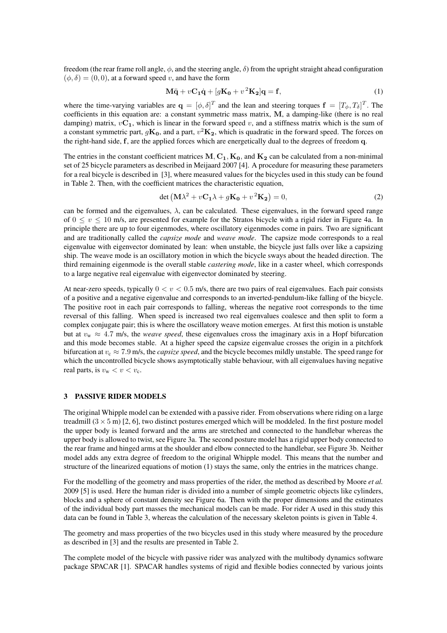freedom (the rear frame roll angle, *ϕ*, and the steering angle, *δ*) from the upright straight ahead configuration  $(\phi, \delta) = (0, 0)$ , at a forward speed *v*, and have the form

$$
M\ddot{q} + vC_1\dot{q} + [gK_0 + v^2K_2]q = f,
$$
\n(1)

where the time-varying variables are  $\mathbf{q} = [\phi, \delta]^T$  and the lean and steering torques  $\mathbf{f} = [T_{\phi}, T_{\delta}]^T$ . The coefficients in this equation are: a constant symmetric mass matrix, **M**, a damping-like (there is no real damping) matrix,  $vC_1$ , which is linear in the forward speed  $v$ , and a stiffness matrix which is the sum of a constant symmetric part,  $gK_0$ , and a part,  $v^2K_2$ , which is quadratic in the forward speed. The forces on the right-hand side, **f**, are the applied forces which are energetically dual to the degrees of freedom **q**.

The entries in the constant coefficient matrices  $M, C_1, K_0$ , and  $K_2$  can be calculated from a non-minimal set of 25 bicycle parameters as described in Meijaard 2007 [4]. A procedure for measuring these parameters for a real bicycle is described in [3], where measured values for the bicycles used in this study can be found in Table 2. Then, with the coefficient matrices the characteristic equation,

$$
\det\left(\mathbf{M}\lambda^2 + v\mathbf{C}_1\lambda + g\mathbf{K}_0 + v^2\mathbf{K}_2\right) = 0,\tag{2}
$$

can be formed and the eigenvalues, *λ*, can be calculated. These eigenvalues, in the forward speed range of  $0 \le v \le 10$  m/s, are presented for example for the Stratos bicycle with a rigid rider in Figure 4a. In principle there are up to four eigenmodes, where oscillatory eigenmodes come in pairs. Two are significant and are traditionally called the *capsize mode* and *weave mode*. The capsize mode corresponds to a real eigenvalue with eigenvector dominated by lean: when unstable, the bicycle just falls over like a capsizing ship. The weave mode is an oscillatory motion in which the bicycle sways about the headed direction. The third remaining eigenmode is the overall stable *castering mode*, like in a caster wheel, which corresponds to a large negative real eigenvalue with eigenvector dominated by steering.

At near-zero speeds, typically 0 *< v <* 0*.*5 m/s, there are two pairs of real eigenvalues. Each pair consists of a positive and a negative eigenvalue and corresponds to an inverted-pendulum-like falling of the bicycle. The positive root in each pair corresponds to falling, whereas the negative root corresponds to the time reversal of this falling. When speed is increased two real eigenvalues coalesce and then split to form a complex conjugate pair; this is where the oscillatory weave motion emerges. At first this motion is unstable but at  $v_w \approx 4.7$  m/s, the *weave speed*, these eigenvalues cross the imaginary axis in a Hopf bifurcation and this mode becomes stable. At a higher speed the capsize eigenvalue crosses the origin in a pitchfork bifurcation at  $v_c \approx 7.9$  m/s, the *capsize speed*, and the bicycle becomes mildly unstable. The speed range for which the uncontrolled bicycle shows asymptotically stable behaviour, with all eigenvalues having negative real parts, is  $v_w < v < v_c$ .

#### 3 PASSIVE RIDER MODELS

The original Whipple model can be extended with a passive rider. From observations where riding on a large treadmill  $(3 \times 5 \text{ m})$  [2, 6], two distinct postures emerged which will be moddeled. In the first posture model the upper body is leaned forward and the arms are stretched and connected to the handlebar whereas the upper body is allowed to twist, see Figure 3a. The second posture model has a rigid upper body connected to the rear frame and hinged arms at the shoulder and elbow connected to the handlebar, see Figure 3b. Neither model adds any extra degree of freedom to the original Whipple model. This means that the number and structure of the linearized equations of motion (1) stays the same, only the entries in the matrices change.

For the modelling of the geometry and mass properties of the rider, the method as described by Moore *et al.* 2009 [5] is used. Here the human rider is divided into a number of simple geometric objects like cylinders, blocks and a sphere of constant density see Figure 6a. Then with the proper dimensions and the estimates of the individual body part masses the mechanical models can be made. For rider A used in this study this data can be found in Table 3, whereas the calculation of the necessary skeleton points is given in Table 4.

The geometry and mass properties of the two bicycles used in this study where measured by the procedure as described in [3] and the results are presented in Table 2.

The complete model of the bicycle with passive rider was analyzed with the multibody dynamics software package SPACAR [1]. SPACAR handles systems of rigid and flexible bodies connected by various joints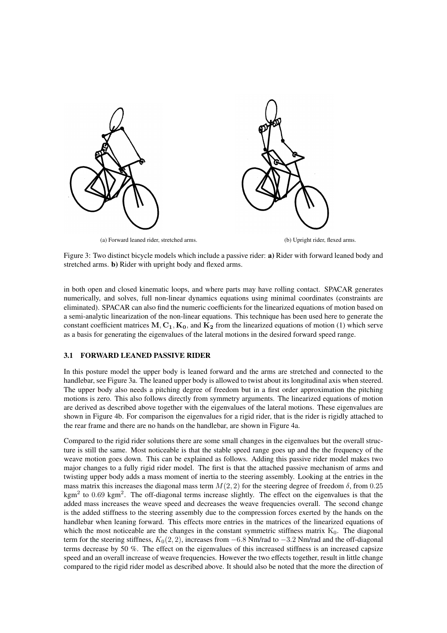

(a) Forward leaned rider, stretched arms. (b) Upright rider, flexed arms.

Figure 3: Two distinct bicycle models which include a passive rider: a) Rider with forward leaned body and stretched arms. b) Rider with upright body and flexed arms.

in both open and closed kinematic loops, and where parts may have rolling contact. SPACAR generates numerically, and solves, full non-linear dynamics equations using minimal coordinates (constraints are eliminated). SPACAR can also find the numeric coefficients for the linearized equations of motion based on a semi-analytic linearization of the non-linear equations. This technique has been used here to generate the constant coefficient matrices  $M, C_1, K_0$ , and  $K_2$  from the linearized equations of motion (1) which serve as a basis for generating the eigenvalues of the lateral motions in the desired forward speed range.

#### 3.1 FORWARD LEANED PASSIVE RIDER

In this posture model the upper body is leaned forward and the arms are stretched and connected to the handlebar, see Figure 3a. The leaned upper body is allowed to twist about its longitudinal axis when steered. The upper body also needs a pitching degree of freedom but in a first order approximation the pitching motions is zero. This also follows directly from symmetry arguments. The linearized equations of motion are derived as described above together with the eigenvalues of the lateral motions. These eigenvalues are shown in Figure 4b. For comparison the eigenvalues for a rigid rider, that is the rider is rigidly attached to the rear frame and there are no hands on the handlebar, are shown in Figure 4a.

Compared to the rigid rider solutions there are some small changes in the eigenvalues but the overall structure is still the same. Most noticeable is that the stable speed range goes up and the the frequency of the weave motion goes down. This can be explained as follows. Adding this passive rider model makes two major changes to a fully rigid rider model. The first is that the attached passive mechanism of arms and twisting upper body adds a mass moment of inertia to the steering assembly. Looking at the entries in the mass matrix this increases the diagonal mass term  $M(2, 2)$  for the steering degree of freedom  $\delta$ , from 0.25 kgm<sup>2</sup> to 0.69 kgm<sup>2</sup>. The off-diagonal terms increase slightly. The effect on the eigenvalues is that the added mass increases the weave speed and decreases the weave frequencies overall. The second change is the added stiffness to the steering assembly due to the compression forces exerted by the hands on the handlebar when leaning forward. This effects more entries in the matrices of the linearized equations of which the most noticeable are the changes in the constant symmetric stiffness matrix  $K_0$ . The diagonal term for the steering stiffness, *K*0(2*,* 2), increases from *−*6*.*8 Nm/rad to *−*3*.*2 Nm/rad and the off-diagonal terms decrease by 50 %. The effect on the eigenvalues of this increased stiffness is an increased capsize speed and an overall increase of weave frequencies. However the two effects together, result in little change compared to the rigid rider model as described above. It should also be noted that the more the direction of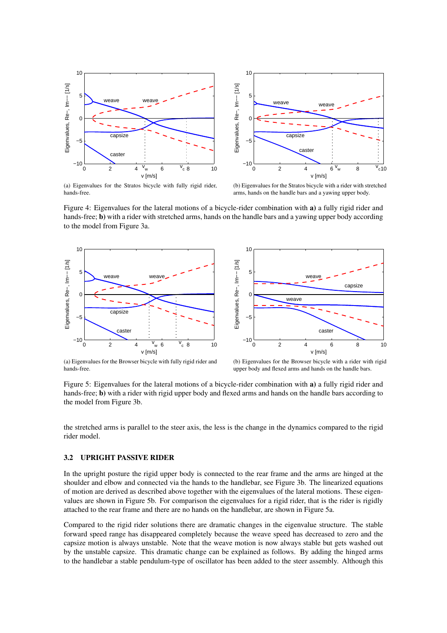



(a) Eigenvalues for the Stratos bicycle with fully rigid rider, hands-free.

(b) Eigenvalues for the Stratos bicycle with a rider with stretched arms, hands on the handle bars and a yawing upper body.

Figure 4: Eigenvalues for the lateral motions of a bicycle-rider combination with a) a fully rigid rider and hands-free; **b**) with a rider with stretched arms, hands on the handle bars and a yawing upper body according to the model from Figure 3a.





(a) Eigenvalues for the Browser bicycle with fully rigid rider and hands-free.

(b) Eigenvalues for the Browser bicycle with a rider with rigid upper body and flexed arms and hands on the handle bars.

Figure 5: Eigenvalues for the lateral motions of a bicycle-rider combination with a) a fully rigid rider and hands-free; **b**) with a rider with rigid upper body and flexed arms and hands on the handle bars according to the model from Figure 3b.

the stretched arms is parallel to the steer axis, the less is the change in the dynamics compared to the rigid rider model.

#### 3.2 UPRIGHT PASSIVE RIDER

In the upright posture the rigid upper body is connected to the rear frame and the arms are hinged at the shoulder and elbow and connected via the hands to the handlebar, see Figure 3b. The linearized equations of motion are derived as described above together with the eigenvalues of the lateral motions. These eigenvalues are shown in Figure 5b. For comparison the eigenvalues for a rigid rider, that is the rider is rigidly attached to the rear frame and there are no hands on the handlebar, are shown in Figure 5a.

Compared to the rigid rider solutions there are dramatic changes in the eigenvalue structure. The stable forward speed range has disappeared completely because the weave speed has decreased to zero and the capsize motion is always unstable. Note that the weave motion is now always stable but gets washed out by the unstable capsize. This dramatic change can be explained as follows. By adding the hinged arms to the handlebar a stable pendulum-type of oscillator has been added to the steer assembly. Although this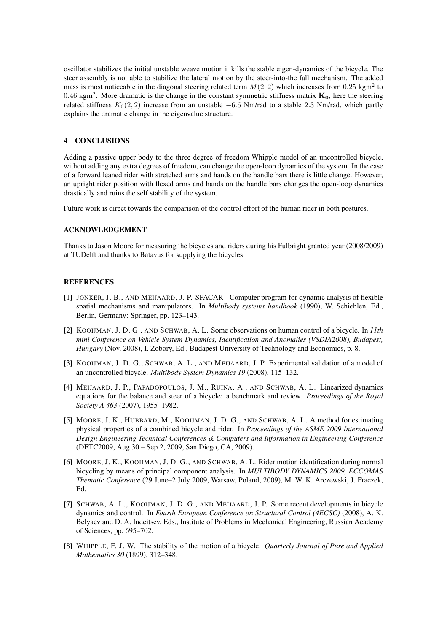oscillator stabilizes the initial unstable weave motion it kills the stable eigen-dynamics of the bicycle. The steer assembly is not able to stabilize the lateral motion by the steer-into-the fall mechanism. The added mass is most noticeable in the diagonal steering related term  $M(2, 2)$  which increases from 0.25 kgm<sup>2</sup> to 0*.*46 kgm<sup>2</sup> . More dramatic is the change in the constant symmetric stiffness matrix **K0**, here the steering related stiffness *K*0(2*,* 2) increase from an unstable *−*6*.*6 Nm/rad to a stable 2*.*3 Nm/rad, which partly explains the dramatic change in the eigenvalue structure.

## 4 CONCLUSIONS

Adding a passive upper body to the three degree of freedom Whipple model of an uncontrolled bicycle, without adding any extra degrees of freedom, can change the open-loop dynamics of the system. In the case of a forward leaned rider with stretched arms and hands on the handle bars there is little change. However, an upright rider position with flexed arms and hands on the handle bars changes the open-loop dynamics drastically and ruins the self stability of the system.

Future work is direct towards the comparison of the control effort of the human rider in both postures.

### ACKNOWLEDGEMENT

Thanks to Jason Moore for measuring the bicycles and riders during his Fulbright granted year (2008/2009) at TUDelft and thanks to Batavus for supplying the bicycles.

#### **REFERENCES**

- [1] JONKER, J. B., AND MEIJAARD, J. P. SPACAR Computer program for dynamic analysis of flexible spatial mechanisms and manipulators. In *Multibody systems handbook* (1990), W. Schiehlen, Ed., Berlin, Germany: Springer, pp. 123–143.
- [2] KOOIJMAN, J. D. G., AND SCHWAB, A. L. Some observations on human control of a bicycle. In *11th mini Conference on Vehicle System Dynamics, Identification and Anomalies (VSDIA2008), Budapest, Hungary* (Nov. 2008), I. Zobory, Ed., Budapest University of Technology and Economics, p. 8.
- [3] KOOIJMAN, J. D. G., SCHWAB, A. L., AND MEIJAARD, J. P. Experimental validation of a model of an uncontrolled bicycle. *Multibody System Dynamics 19* (2008), 115–132.
- [4] MEIJAARD, J. P., PAPADOPOULOS, J. M., RUINA, A., AND SCHWAB, A. L. Linearized dynamics equations for the balance and steer of a bicycle: a benchmark and review. *Proceedings of the Royal Society A 463* (2007), 1955–1982.
- [5] MOORE, J. K., HUBBARD, M., KOOIJMAN, J. D. G., AND SCHWAB, A. L. A method for estimating physical properties of a combined bicycle and rider. In *Proceedings of the ASME 2009 International Design Engineering Technical Conferences & Computers and Information in Engineering Conference* (DETC2009, Aug 30 – Sep 2, 2009, San Diego, CA, 2009).
- [6] MOORE, J. K., KOOIJMAN, J. D. G., AND SCHWAB, A. L. Rider motion identification during normal bicycling by means of principal component analysis. In *MULTIBODY DYNAMICS 2009, ECCOMAS Thematic Conference* (29 June–2 July 2009, Warsaw, Poland, 2009), M. W. K. Arczewski, J. Fraczek, Ed.
- [7] SCHWAB, A. L., KOOIJMAN, J. D. G., AND MEIJAARD, J. P. Some recent developments in bicycle dynamics and control. In *Fourth European Conference on Structural Control (4ECSC)* (2008), A. K. Belyaev and D. A. Indeitsev, Eds., Institute of Problems in Mechanical Engineering, Russian Academy of Sciences, pp. 695–702.
- [8] WHIPPLE, F. J. W. The stability of the motion of a bicycle. *Quarterly Journal of Pure and Applied Mathematics 30* (1899), 312–348.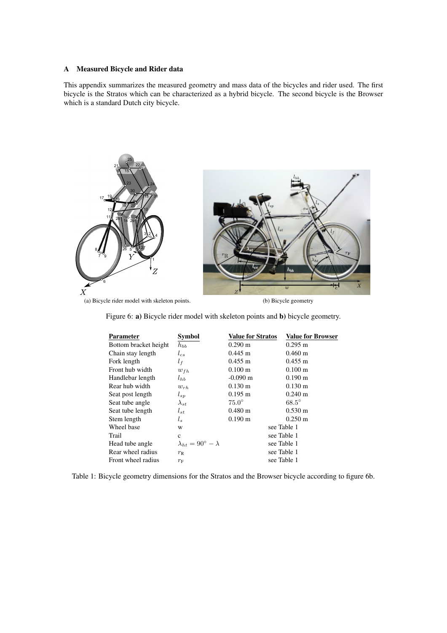## A Measured Bicycle and Rider data

This appendix summarizes the measured geometry and mass data of the bicycles and rider used. The first bicycle is the Stratos which can be characterized as a hybrid bicycle. The second bicycle is the Browser which is a standard Dutch city bicycle.



(a) Bicycle rider model with skeleton points. (b) Bicycle geometry

Figure 6: a) Bicycle rider model with skeleton points and b) bicycle geometry.

| Parameter             | <b>Symbol</b>                         | <b>Value for Stratos</b> | <b>Value for Browser</b> |
|-----------------------|---------------------------------------|--------------------------|--------------------------|
| Bottom bracket height | $h_{bb}$                              | $0.290 \text{ m}$        | $0.295 \text{ m}$        |
| Chain stay length     | $l_{cs}$                              | $0.445 \text{ m}$        | $0.460 \text{ m}$        |
| Fork length           | $l_f$                                 | $0.455 \text{ m}$        | $0.455 \text{ m}$        |
| Front hub width       | $w_{fh}$                              | $0.100 \;{\rm m}$        | $0.100 \text{ m}$        |
| Handlebar length      | $l_{hb}$                              | $-0.090$ m               | $0.190 \text{ m}$        |
| Rear hub width        | $w_{rh}$                              | $0.130 \text{ m}$        | $0.130 \text{ m}$        |
| Seat post length      | $l_{sp}$                              | $0.195 \; \mathrm{m}$    | $0.240 \text{ m}$        |
| Seat tube angle       | $\lambda_{st}$                        | $75.0^\circ$             | $68.5^\circ$             |
| Seat tube length      | $l_{st}$                              | $0.480 \text{ m}$        | $0.530 \text{ m}$        |
| Stem length           | $l_s$                                 | $0.190 \text{ m}$        | $0.250 \text{ m}$        |
| Wheel base            | W                                     |                          | see Table 1              |
| Trail                 | $\mathbf c$                           |                          | see Table 1              |
| Head tube angle       | $\lambda_{bt} = 90^{\circ} - \lambda$ |                          | see Table 1              |
| Rear wheel radius     | $r_{\rm R}$                           |                          | see Table 1              |
| Front wheel radius    | $r_{\rm F}$                           |                          | see Table 1              |
|                       |                                       |                          |                          |

Table 1: Bicycle geometry dimensions for the Stratos and the Browser bicycle according to figure 6b.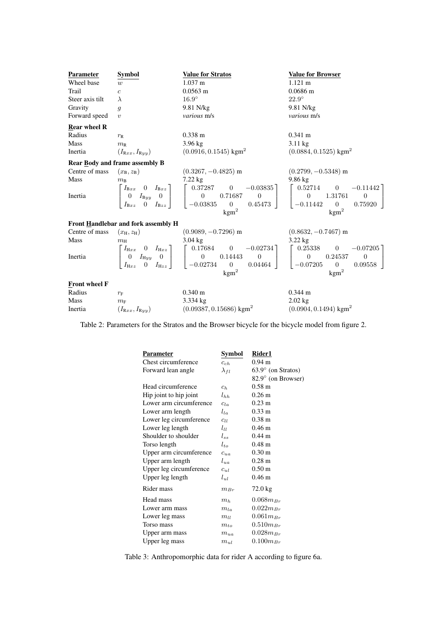| Parameter            | <b>Symbol</b>                              | <b>Value for Stratos</b>                                                                                                                                                                                                                                                                                                                                                            | <b>Value for Browser</b>            |
|----------------------|--------------------------------------------|-------------------------------------------------------------------------------------------------------------------------------------------------------------------------------------------------------------------------------------------------------------------------------------------------------------------------------------------------------------------------------------|-------------------------------------|
| Wheel base           | w                                          | $1.037 \text{ m}$                                                                                                                                                                                                                                                                                                                                                                   | $1.121 \text{ m}$                   |
| Trail                | $\boldsymbol{c}$                           | $0.0563$ m                                                                                                                                                                                                                                                                                                                                                                          | $0.0686$ m                          |
| Steer axis tilt      | $\lambda$                                  | $16.9^\circ$                                                                                                                                                                                                                                                                                                                                                                        | $22.9^\circ$                        |
| Gravity              | $\mathfrak{g}$                             | 9.81 N/kg                                                                                                                                                                                                                                                                                                                                                                           | 9.81 N/kg                           |
| Forward speed        | $\boldsymbol{\eta}$                        | various m/s                                                                                                                                                                                                                                                                                                                                                                         | various m/s                         |
| <b>Rear wheel R</b>  |                                            |                                                                                                                                                                                                                                                                                                                                                                                     |                                     |
| Radius               | $r_{\rm R}$                                | $0.338 \text{ m}$                                                                                                                                                                                                                                                                                                                                                                   | $0.341 \text{ m}$                   |
| Mass                 | $m_{\rm R}$                                | $3.96 \text{ kg}$                                                                                                                                                                                                                                                                                                                                                                   | $3.11 \text{ kg}$                   |
| Inertia              | $(I_{\mathbf{R}xx}, I_{\mathbf{R}yy})$     | $(0.0916, 0.1545)$ kgm <sup>2</sup>                                                                                                                                                                                                                                                                                                                                                 | $(0.0884, 0.1525)$ kgm <sup>2</sup> |
|                      | <b>Rear Body and frame assembly B</b>      |                                                                                                                                                                                                                                                                                                                                                                                     |                                     |
| Centre of mass       |                                            | $(x_B, z_B)$ (0.3267, -0.4825) m (0.2799, -0.5348) m<br>$m_B$ 7.22 kg 9.86 kg                                                                                                                                                                                                                                                                                                       |                                     |
| Mass                 |                                            |                                                                                                                                                                                                                                                                                                                                                                                     |                                     |
| Inertia              |                                            | ( <i>x</i> <sub>B</sub> , <i>z</i> <sub>B</sub> )<br>$m_B$<br>$\begin{bmatrix}\nI_{Bxx} & 0 & I_{Bxz} \\ 0 & I_{Byy} & 0 \\ I_{Bxz} & 0 & I_{Bzz}\n\end{bmatrix}\n\begin{bmatrix}\n0.37287 & 0 & -0.03835 \\ 0 & 0.71687 & 0 \\ -0.03835 & 0 & 0.45473\n\end{bmatrix}\n\begin{bmatrix}\n0.52714 & 0 & -0.11442 \\ 0 & 1.31761 & 0 \\ -0.11442 & 0 & 0.75920\n\end{bmatrix}$         |                                     |
|                      | <b>Front Handlebar and fork assembly H</b> |                                                                                                                                                                                                                                                                                                                                                                                     |                                     |
| Centre of mass       |                                            |                                                                                                                                                                                                                                                                                                                                                                                     |                                     |
| Mass                 |                                            | ( $x_{\rm H}$ , $z_{\rm H}$ ) (0.9089, -0.7296) m (0.8632, -0.7467) m<br>$m_{\rm H}$ 3.04 kg 3.22 kg                                                                                                                                                                                                                                                                                |                                     |
| Inertia              |                                            | $\begin{bmatrix} I_{\mathrm Hxx} & 0 & I_{\mathrm Hxy} & 0 \\ 0 & I_{\mathrm Hyy} & 0 & 0 \\ I_{\mathrm Hxz} & 0 & I_{\mathrm Hzz} \end{bmatrix} \quad \begin{bmatrix} 0.17684 & 0 & -0.02734 \\ 0 & 0.14443 & 0 \\ -0.02734 & 0 & 0.04464 \end{bmatrix} \quad \begin{bmatrix} 0.25338 & 0 & -0.07205 \\ 0 & 0.24537 & 0 \\ -0.07205 & 0 & 0.09558 \end{bmatrix}$<br>$\text{kgm}^2$ | $\text{kgm}^2$                      |
| <b>Front wheel F</b> |                                            |                                                                                                                                                                                                                                                                                                                                                                                     |                                     |
| Radius               | $r_{\rm F}$                                | $0.340 \text{ m}$                                                                                                                                                                                                                                                                                                                                                                   | $0.344 \text{ m}$                   |
| Mass                 | $m_{\rm F}$                                | 3.334 kg                                                                                                                                                                                                                                                                                                                                                                            | $2.02 \text{ kg}$                   |
| Inertia              |                                            | $(I_{\text{Rxx}}, I_{\text{Ryy}})$ (0.09387, 0.15686) kgm <sup>2</sup>                                                                                                                                                                                                                                                                                                              | $(0.0904, 0.1494)$ kgm <sup>2</sup> |

Table 2: Parameters for the Stratos and the Browser bicycle for the bicycle model from figure 2.

| Parameter               | Symbol          | Rider1                    |
|-------------------------|-----------------|---------------------------|
| Chest circumference     | $c_{ch}$        | $0.94 \text{ m}$          |
| Forward lean angle      | $\lambda_{fl}$  | $63.9^\circ$ (on Stratos) |
|                         |                 | 82.9° (on Browser)        |
| Head circumference      | $c_h$           | $0.58 \text{ m}$          |
| Hip joint to hip joint  | $l_{hh}$        | 0.26 <sub>m</sub>         |
| Lower arm circumference | $C_{Ln}$        | $0.23 \text{ m}$          |
| Lower arm length        | $l_{la}$        | $0.33 \; \mathrm{m}$      |
| Lower leg circumference | $_{\text{CLL}}$ | 0.38 <sub>m</sub>         |
| Lower leg length        | $l_{ll}$        | $0.46 \text{ m}$          |
| Shoulder to shoulder    | $l_{ss}$        | $0.44 \; \mathrm{m}$      |
| Torso length            | $l_{to}$        | $0.48 \text{ m}$          |
| Upper arm circumference | $c_{ua}$        | 0.30 <sub>m</sub>         |
| Upper arm length        | $l_{ua}$        | $0.28 \text{ m}$          |
| Upper leg circumference | $c_{ul}$        | 0.50 <sub>m</sub>         |
| Upper leg length        | $l_{ul}$        | $0.46 \text{ m}$          |
| Rider mass              | $m_{Br}$        | $72.0 \text{ kg}$         |
| Head mass               | m <sub>h</sub>  | $0.068 m_{Br}$            |
| Lower arm mass          | $m_{la}$        | $0.022 m_{Br}$            |
| Lower leg mass          | $m_{ll}$        | $0.061 m_{Br}$            |
| Torso mass              | $m_{to}$        | $0.510 m_{Br}$            |
| Upper arm mass          | $m_{ua}$        | $0.028 m_{Br}$            |
| Upper leg mass          | $m_{ul}$        | $0.100m_{Br}$             |

Table 3: Anthropomorphic data for rider A according to figure 6a.